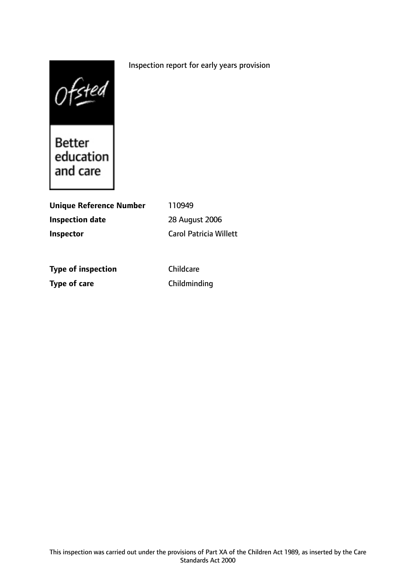## Inspection report for early years provision



Better<br>education<br>and care

| <b>Unique Reference Number</b> | 110949                        |
|--------------------------------|-------------------------------|
| <b>Inspection date</b>         | 28 August 2006                |
| Inspector                      | <b>Carol Patricia Willett</b> |
|                                |                               |
| <b>Type of inspection</b>      | Childcare                     |
| <b>Type of care</b>            | Childminding                  |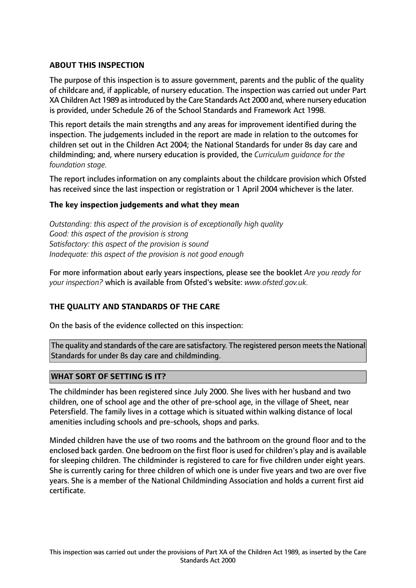## **ABOUT THIS INSPECTION**

The purpose of this inspection is to assure government, parents and the public of the quality of childcare and, if applicable, of nursery education. The inspection was carried out under Part XA Children Act 1989 as introduced by the Care Standards Act 2000 and, where nursery education is provided, under Schedule 26 of the School Standards and Framework Act 1998.

This report details the main strengths and any areas for improvement identified during the inspection. The judgements included in the report are made in relation to the outcomes for children set out in the Children Act 2004; the National Standards for under 8s day care and childminding; and, where nursery education is provided, the *Curriculum guidance for the foundation stage.*

The report includes information on any complaints about the childcare provision which Ofsted has received since the last inspection or registration or 1 April 2004 whichever is the later.

## **The key inspection judgements and what they mean**

*Outstanding: this aspect of the provision is of exceptionally high quality Good: this aspect of the provision is strong Satisfactory: this aspect of the provision is sound Inadequate: this aspect of the provision is not good enough*

For more information about early years inspections, please see the booklet *Are you ready for your inspection?* which is available from Ofsted's website: *www.ofsted.gov.uk.*

## **THE QUALITY AND STANDARDS OF THE CARE**

On the basis of the evidence collected on this inspection:

The quality and standards of the care are satisfactory. The registered person meets the National Standards for under 8s day care and childminding.

## **WHAT SORT OF SETTING IS IT?**

The childminder has been registered since July 2000. She lives with her husband and two children, one of school age and the other of pre-school age, in the village of Sheet, near Petersfield. The family lives in a cottage which is situated within walking distance of local amenities including schools and pre-schools, shops and parks.

Minded children have the use of two rooms and the bathroom on the ground floor and to the enclosed back garden. One bedroom on the first floor is used for children's play and is available for sleeping children. The childminder is registered to care for five children under eight years. She is currently caring for three children of which one is under five years and two are over five years. She is a member of the National Childminding Association and holds a current first aid certificate.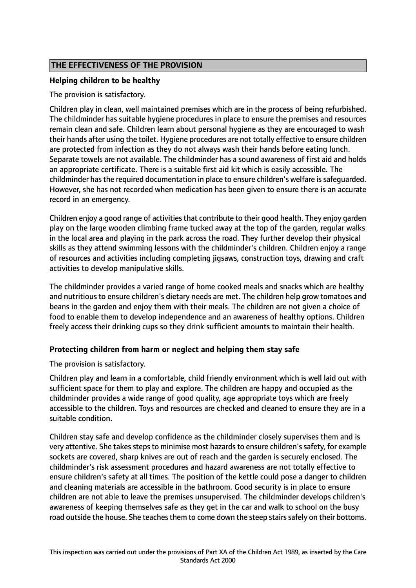## **THE EFFECTIVENESS OF THE PROVISION**

## **Helping children to be healthy**

The provision is satisfactory.

Children play in clean, well maintained premises which are in the process of being refurbished. The childminder has suitable hygiene procedures in place to ensure the premises and resources remain clean and safe. Children learn about personal hygiene as they are encouraged to wash their hands after using the toilet. Hygiene procedures are not totally effective to ensure children are protected from infection as they do not always wash their hands before eating lunch. Separate towels are not available. The childminder has a sound awareness of first aid and holds an appropriate certificate. There is a suitable first aid kit which is easily accessible. The childminder has the required documentation in place to ensure children's welfare is safequarded. However, she has not recorded when medication has been given to ensure there is an accurate record in an emergency.

Children enjoy a good range of activities that contribute to their good health. They enjoy garden play on the large wooden climbing frame tucked away at the top of the garden, regular walks in the local area and playing in the park across the road. They further develop their physical skills as they attend swimming lessons with the childminder's children. Children enjoy a range of resources and activities including completing jigsaws, construction toys, drawing and craft activities to develop manipulative skills.

The childminder provides a varied range of home cooked meals and snacks which are healthy and nutritious to ensure children's dietary needs are met. The children help grow tomatoes and beans in the garden and enjoy them with their meals. The children are not given a choice of food to enable them to develop independence and an awareness of healthy options. Children freely access their drinking cups so they drink sufficient amounts to maintain their health.

# **Protecting children from harm or neglect and helping them stay safe**

The provision is satisfactory.

Children play and learn in a comfortable, child friendly environment which is well laid out with sufficient space for them to play and explore. The children are happy and occupied as the childminder provides a wide range of good quality, age appropriate toys which are freely accessible to the children. Toys and resources are checked and cleaned to ensure they are in a suitable condition.

Children stay safe and develop confidence as the childminder closely supervises them and is very attentive. She takes steps to minimise most hazards to ensure children's safety, for example sockets are covered, sharp knives are out of reach and the garden is securely enclosed. The childminder's risk assessment procedures and hazard awareness are not totally effective to ensure children's safety at all times. The position of the kettle could pose a danger to children and cleaning materials are accessible in the bathroom. Good security is in place to ensure children are not able to leave the premises unsupervised. The childminder develops children's awareness of keeping themselves safe as they get in the car and walk to school on the busy road outside the house. She teaches them to come down the steep stairs safely on their bottoms.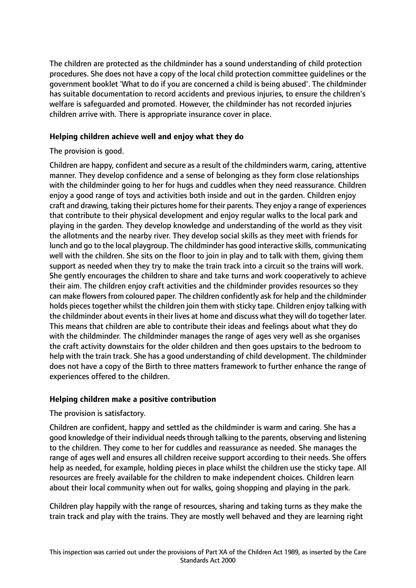The children are protected as the childminder has a sound understanding of child protection procedures. She does not have a copy of the local child protection committee guidelines or the government booklet 'What to do if you are concerned a child is being abused'. The childminder has suitable documentation to record accidents and previous injuries, to ensure the children's welfare is safeguarded and promoted. However, the childminder has not recorded injuries children arrive with. There is appropriate insurance cover in place.

## **Helping children achieve well and enjoy what they do**

## The provision is good.

Children are happy, confident and secure as a result of the childminders warm, caring, attentive manner. They develop confidence and a sense of belonging as they form close relationships with the childminder going to her for hugs and cuddles when they need reassurance. Children enjoy a good range of toys and activities both inside and out in the garden. Children enjoy craft and drawing, taking their pictures home for their parents. They enjoy a range of experiences that contribute to their physical development and enjoy regular walks to the local park and playing in the garden. They develop knowledge and understanding of the world as they visit the allotments and the nearby river. They develop social skills as they meet with friends for lunch and go to the local playgroup. The childminder has good interactive skills, communicating well with the children. She sits on the floor to join in play and to talk with them, giving them support as needed when they try to make the train track into a circuit so the trains will work. She gently encourages the children to share and take turns and work cooperatively to achieve their aim. The children enjoy craft activities and the childminder provides resources so they can make flowers from coloured paper. The children confidently ask for help and the childminder holds pieces together whilst the children join them with sticky tape. Children enjoy talking with the childminder about events in their lives at home and discuss what they will do together later. This means that children are able to contribute their ideas and feelings about what they do with the childminder. The childminder manages the range of ages very well as she organises the craft activity downstairs for the older children and then goes upstairs to the bedroom to help with the train track. She has a good understanding of child development. The childminder does not have a copy of the Birth to three matters framework to further enhance the range of experiences offered to the children.

## **Helping children make a positive contribution**

## The provision is satisfactory.

Children are confident, happy and settled as the childminder is warm and caring. She has a good knowledge of their individual needs through talking to the parents, observing and listening to the children. They come to her for cuddles and reassurance as needed. She manages the range of ages well and ensures all children receive support according to their needs. She offers help as needed, for example, holding pieces in place whilst the children use the sticky tape. All resources are freely available for the children to make independent choices. Children learn about their local community when out for walks, going shopping and playing in the park.

Children play happily with the range of resources, sharing and taking turns as they make the train track and play with the trains. They are mostly well behaved and they are learning right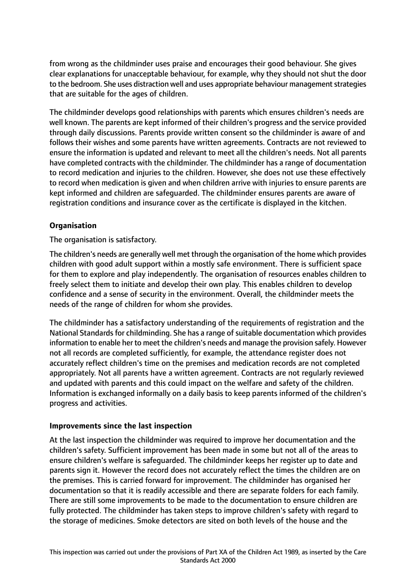from wrong as the childminder uses praise and encourages their good behaviour. She gives clear explanations for unacceptable behaviour, for example, why they should not shut the door to the bedroom. She uses distraction well and uses appropriate behaviour management strategies that are suitable for the ages of children.

The childminder develops good relationships with parents which ensures children's needs are well known. The parents are kept informed of their children's progress and the service provided through daily discussions. Parents provide written consent so the childminder is aware of and follows their wishes and some parents have written agreements. Contracts are not reviewed to ensure the information is updated and relevant to meet all the children's needs. Not all parents have completed contracts with the childminder. The childminder has a range of documentation to record medication and injuries to the children. However, she does not use these effectively to record when medication is given and when children arrive with injuries to ensure parents are kept informed and children are safeguarded. The childminder ensures parents are aware of registration conditions and insurance cover as the certificate is displayed in the kitchen.

## **Organisation**

The organisation is satisfactory.

The children's needs are generally well met through the organisation of the home which provides children with good adult support within a mostly safe environment. There is sufficient space for them to explore and play independently. The organisation of resources enables children to freely select them to initiate and develop their own play. This enables children to develop confidence and a sense of security in the environment. Overall, the childminder meets the needs of the range of children for whom she provides.

The childminder has a satisfactory understanding of the requirements of registration and the National Standards for childminding. She has a range of suitable documentation which provides information to enable her to meet the children's needs and manage the provision safely. However not all records are completed sufficiently, for example, the attendance register does not accurately reflect children's time on the premises and medication records are not completed appropriately. Not all parents have a written agreement. Contracts are not regularly reviewed and updated with parents and this could impact on the welfare and safety of the children. Information is exchanged informally on a daily basis to keep parents informed of the children's progress and activities.

## **Improvements since the last inspection**

At the last inspection the childminder was required to improve her documentation and the children's safety. Sufficient improvement has been made in some but not all of the areas to ensure children's welfare is safeguarded. The childminder keeps her register up to date and parents sign it. However the record does not accurately reflect the times the children are on the premises. This is carried forward for improvement. The childminder has organised her documentation so that it is readily accessible and there are separate folders for each family. There are still some improvements to be made to the documentation to ensure children are fully protected. The childminder has taken steps to improve children's safety with regard to the storage of medicines. Smoke detectors are sited on both levels of the house and the